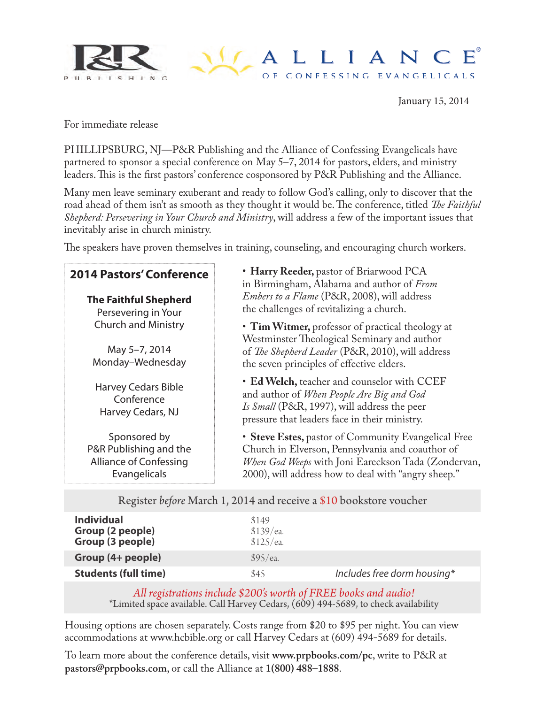

## $\bigcup$  ALLIANCE OF CONFESSING EVANGELICALS

January 15, 2014

For immediate release

PHILLIPSBURG, NJ—P&R Publishing and the Alliance of Confessing Evangelicals have partnered to sponsor a special conference on May 5–7, 2014 for pastors, elders, and ministry leaders. This is the first pastors' conference cosponsored by P&R Publishing and the Alliance.

Many men leave seminary exuberant and ready to follow God's calling, only to discover that the road ahead of them isn't as smooth as they thought it would be. The conference, titled *The Faithful Shepherd: Persevering in Your Church and Ministry*, will address a few of the important issues that inevitably arise in church ministry.

The speakers have proven themselves in training, counseling, and encouraging church workers.

| <b>2014 Pastors' Conference</b><br><b>The Faithful Shepherd</b><br>Persevering in Your  | • Harry Reeder, pastor of Briarwood PCA<br>in Birmingham, Alabama and author of From<br><i>Embers to a Flame</i> (P&R, 2008), will address<br>the challenges of revitalizing a church.                                |
|-----------------------------------------------------------------------------------------|-----------------------------------------------------------------------------------------------------------------------------------------------------------------------------------------------------------------------|
| <b>Church and Ministry</b><br>May 5-7, 2014<br>Monday-Wednesday                         | • Tim Witmer, professor of practical theology at<br>Westminster Theological Seminary and author<br>of The Shepherd Leader (P&R, 2010), will address<br>the seven principles of effective elders.                      |
| <b>Harvey Cedars Bible</b><br>Conference<br>Harvey Cedars, NJ                           | • Ed Welch, teacher and counselor with CCEF<br>and author of When People Are Big and God<br>Is Small (P&R, 1997), will address the peer<br>pressure that leaders face in their ministry.                              |
| Sponsored by<br>P&R Publishing and the<br><b>Alliance of Confessing</b><br>Evangelicals | • Steve Estes, pastor of Community Evangelical Free<br>Church in Elverson, Pennsylvania and coauthor of<br>When God Weeps with Joni Eareckson Tada (Zondervan,<br>2000), will address how to deal with "angry sheep." |

| Register before March 1, 2014 and receive a \$10 bookstore voucher |                                 |                             |  |  |
|--------------------------------------------------------------------|---------------------------------|-----------------------------|--|--|
| <b>Individual</b><br>Group (2 people)<br>Group (3 people)          | \$149<br>\$139/ea.<br>\$125/ea. |                             |  |  |
| Group (4+ people)                                                  | \$95/ea.                        |                             |  |  |
| <b>Students (full time)</b>                                        | \$45                            | Includes free dorm housing* |  |  |
|                                                                    |                                 |                             |  |  |

*All registrations include \$200's worth of FREE books and audio!* \*Limited space available. Call Harvey Cedars, (609) 494-5689, to check availability

Housing options are chosen separately. Costs range from \$20 to \$95 per night. You can view accommodations at www.hcbible.org or call Harvey Cedars at (609) 494-5689 for details.

To learn more about the conference details, visit **www.prpbooks.com/pc**, write to P&R at **pastors@prpbooks.com**, or call the Alliance at **1(800) 488–1888**.